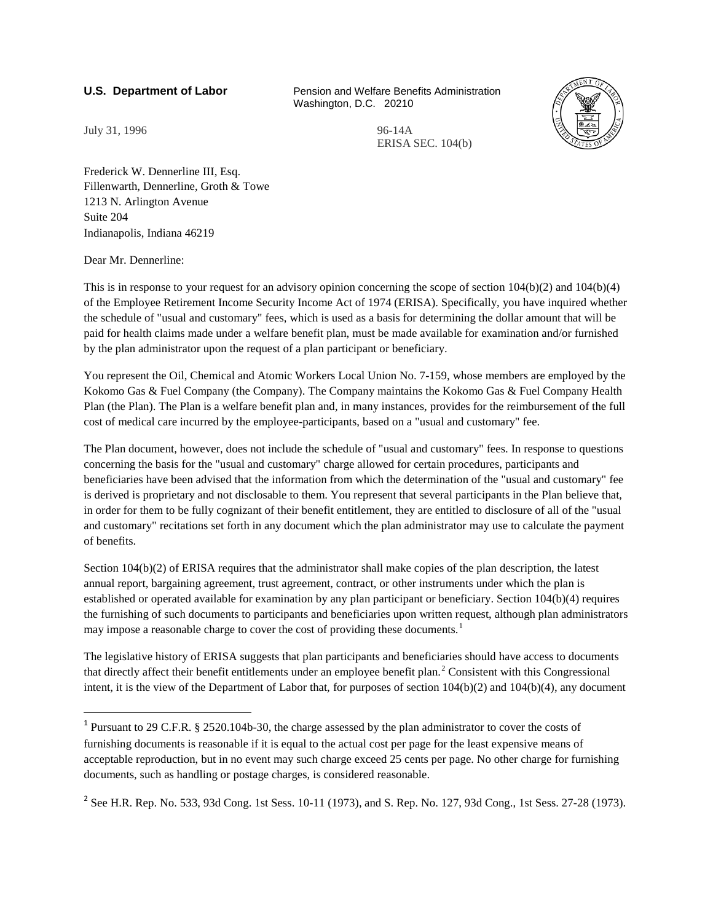**U.S. Department of Labor** Pension and Welfare Benefits Administration Washington, D.C. 20210



July 31, 1996 96-14A

ERISA SEC. 104(b)

Frederick W. Dennerline III, Esq. Fillenwarth, Dennerline, Groth & Towe 1213 N. Arlington Avenue Suite 204 Indianapolis, Indiana 46219

Dear Mr. Dennerline:

This is in response to your request for an advisory opinion concerning the scope of section 104(b)(2) and 104(b)(4) of the Employee Retirement Income Security Income Act of 1974 (ERISA). Specifically, you have inquired whether the schedule of "usual and customary" fees, which is used as a basis for determining the dollar amount that will be paid for health claims made under a welfare benefit plan, must be made available for examination and/or furnished by the plan administrator upon the request of a plan participant or beneficiary.

You represent the Oil, Chemical and Atomic Workers Local Union No. 7-159, whose members are employed by the Kokomo Gas & Fuel Company (the Company). The Company maintains the Kokomo Gas & Fuel Company Health Plan (the Plan). The Plan is a welfare benefit plan and, in many instances, provides for the reimbursement of the full cost of medical care incurred by the employee-participants, based on a "usual and customary" fee.

The Plan document, however, does not include the schedule of "usual and customary" fees. In response to questions concerning the basis for the "usual and customary" charge allowed for certain procedures, participants and beneficiaries have been advised that the information from which the determination of the "usual and customary" fee is derived is proprietary and not disclosable to them. You represent that several participants in the Plan believe that, in order for them to be fully cognizant of their benefit entitlement, they are entitled to disclosure of all of the "usual and customary" recitations set forth in any document which the plan administrator may use to calculate the payment of benefits.

Section 104(b)(2) of ERISA requires that the administrator shall make copies of the plan description, the latest annual report, bargaining agreement, trust agreement, contract, or other instruments under which the plan is established or operated available for examination by any plan participant or beneficiary. Section 104(b)(4) requires the furnishing of such documents to participants and beneficiaries upon written request, although plan administrators may impose a reasonable charge to cover the cost of providing these documents.<sup>[1](#page-0-0)</sup>

The legislative history of ERISA suggests that plan participants and beneficiaries should have access to documents that directly affect their benefit entitlements under an employee benefit plan.<sup>[2](#page-0-1)</sup> Consistent with this Congressional intent, it is the view of the Department of Labor that, for purposes of section 104(b)(2) and 104(b)(4), any document

<span id="page-0-1"></span><sup>2</sup> See H.R. Rep. No. 533, 93d Cong. 1st Sess. 10-11 (1973), and S. Rep. No. 127, 93d Cong., 1st Sess. 27-28 (1973).

<span id="page-0-0"></span><sup>1</sup> Pursuant to 29 C.F.R. § 2520.104b-30, the charge assessed by the plan administrator to cover the costs of furnishing documents is reasonable if it is equal to the actual cost per page for the least expensive means of acceptable reproduction, but in no event may such charge exceed 25 cents per page. No other charge for furnishing documents, such as handling or postage charges, is considered reasonable.